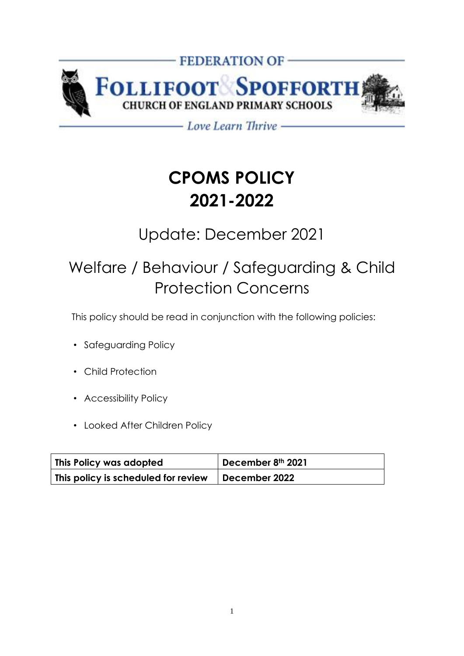

- Love Learn Thrive -

# **CPOMS POLICY 2021-2022**

### Update: December 2021

## Welfare / Behaviour / Safeguarding & Child Protection Concerns

This policy should be read in conjunction with the following policies:

- Safeguarding Policy
- Child Protection
- Accessibility Policy
- Looked After Children Policy

| This Policy was adopted             | December 8th 2021 |
|-------------------------------------|-------------------|
| This policy is scheduled for review | December 2022     |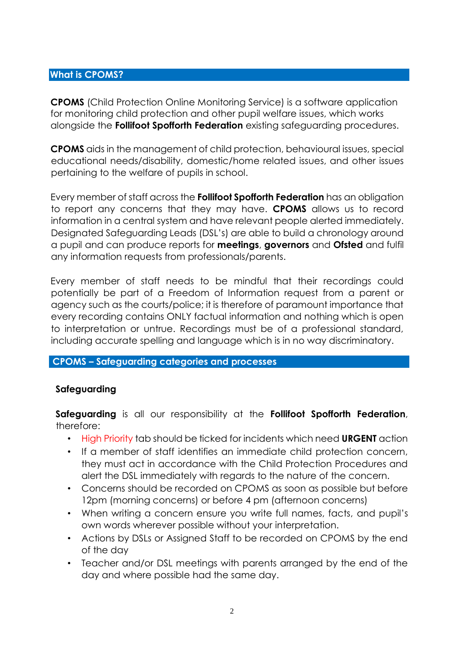#### **What is CPOMS?**

**CPOMS** (Child Protection Online Monitoring Service) is a software application for monitoring child protection and other pupil welfare issues, which works alongside the **Follifoot Spofforth Federation** existing safeguarding procedures.

**CPOMS** aids in the management of child protection, behavioural issues, special educational needs/disability, domestic/home related issues, and other issues pertaining to the welfare of pupils in school.

Every member of staff across the **Follifoot Spofforth Federation** has an obligation to report any concerns that they may have. **CPOMS** allows us to record information in a central system and have relevant people alerted immediately. Designated Safeguarding Leads (DSL's) are able to build a chronology around a pupil and can produce reports for **meetings**, **governors** and **Ofsted** and fulfil any information requests from professionals/parents.

Every member of staff needs to be mindful that their recordings could potentially be part of a Freedom of Information request from a parent or agency such as the courts/police; it is therefore of paramount importance that every recording contains ONLY factual information and nothing which is open to interpretation or untrue. Recordings must be of a professional standard, including accurate spelling and language which is in no way discriminatory.

#### **CPOMS – Safeguarding categories and processes**

#### **Safeguarding**

**Safeguarding** is all our responsibility at the **Follifoot Spofforth Federation**, therefore:

- High Priority tab should be ticked for incidents which need **URGENT** action
- If a member of staff identifies an immediate child protection concern, they must act in accordance with the Child Protection Procedures and alert the DSL immediately with regards to the nature of the concern.
- Concerns should be recorded on CPOMS as soon as possible but before 12pm (morning concerns) or before 4 pm (afternoon concerns)
- When writing a concern ensure you write full names, facts, and pupil's own words wherever possible without your interpretation.
- Actions by DSLs or Assigned Staff to be recorded on CPOMS by the end of the day
- Teacher and/or DSL meetings with parents arranged by the end of the day and where possible had the same day.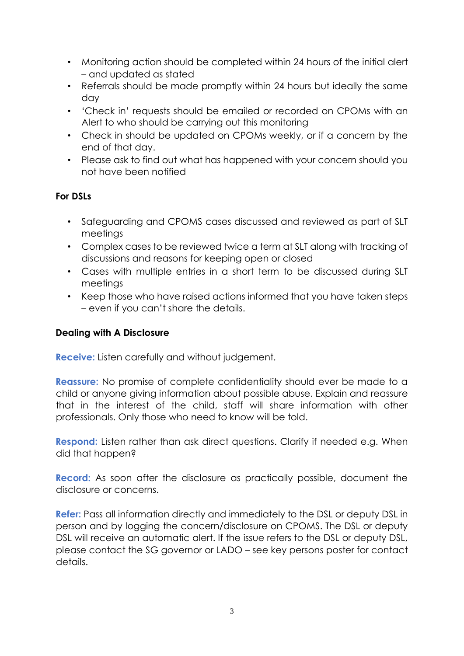- Monitoring action should be completed within 24 hours of the initial alert – and updated as stated
- Referrals should be made promptly within 24 hours but ideally the same day
- 'Check in' requests should be emailed or recorded on CPOMs with an Alert to who should be carrying out this monitoring
- Check in should be updated on CPOMs weekly, or if a concern by the end of that day.
- Please ask to find out what has happened with your concern should you not have been notified

#### **For DSLs**

- Safeguarding and CPOMS cases discussed and reviewed as part of SLT meetings
- Complex cases to be reviewed twice a term at SLT along with tracking of discussions and reasons for keeping open or closed
- Cases with multiple entries in a short term to be discussed during SLT meetings
- Keep those who have raised actions informed that you have taken steps – even if you can't share the details.

#### **Dealing with A Disclosure**

**Receive:** Listen carefully and without judgement.

**Reassure:** No promise of complete confidentiality should ever be made to a child or anyone giving information about possible abuse. Explain and reassure that in the interest of the child, staff will share information with other professionals. Only those who need to know will be told.

**Respond:** Listen rather than ask direct questions. Clarify if needed e.g. When did that happen?

**Record:** As soon after the disclosure as practically possible, document the disclosure or concerns.

**Refer:** Pass all information directly and immediately to the DSL or deputy DSL in person and by logging the concern/disclosure on CPOMS. The DSL or deputy DSL will receive an automatic alert. If the issue refers to the DSL or deputy DSL, please contact the SG governor or LADO – see key persons poster for contact details.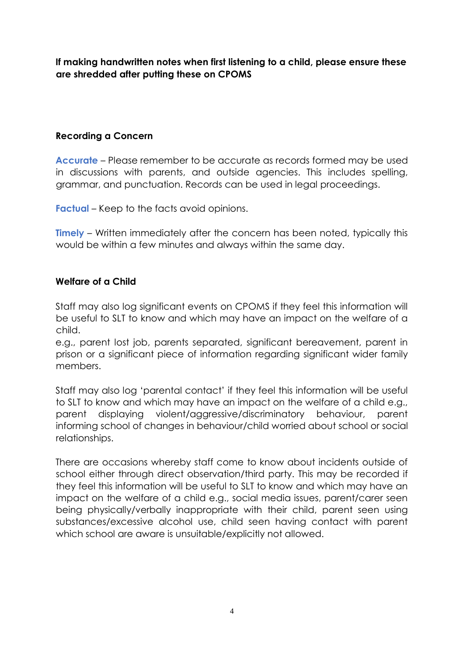**If making handwritten notes when first listening to a child, please ensure these are shredded after putting these on CPOMS** 

#### **Recording a Concern**

**Accurate** – Please remember to be accurate as records formed may be used in discussions with parents, and outside agencies. This includes spelling, grammar, and punctuation. Records can be used in legal proceedings.

**Factual** – Keep to the facts avoid opinions.

**Timely** – Written immediately after the concern has been noted, typically this would be within a few minutes and always within the same day.

#### **Welfare of a Child**

Staff may also log significant events on CPOMS if they feel this information will be useful to SLT to know and which may have an impact on the welfare of a child.

e.g., parent lost job, parents separated, significant bereavement, parent in prison or a significant piece of information regarding significant wider family members.

Staff may also log 'parental contact' if they feel this information will be useful to SLT to know and which may have an impact on the welfare of a child e.g., parent displaying violent/aggressive/discriminatory behaviour, parent informing school of changes in behaviour/child worried about school or social relationships.

There are occasions whereby staff come to know about incidents outside of school either through direct observation/third party. This may be recorded if they feel this information will be useful to SLT to know and which may have an impact on the welfare of a child e.g., social media issues, parent/carer seen being physically/verbally inappropriate with their child, parent seen using substances/excessive alcohol use, child seen having contact with parent which school are aware is unsuitable/explicitly not allowed.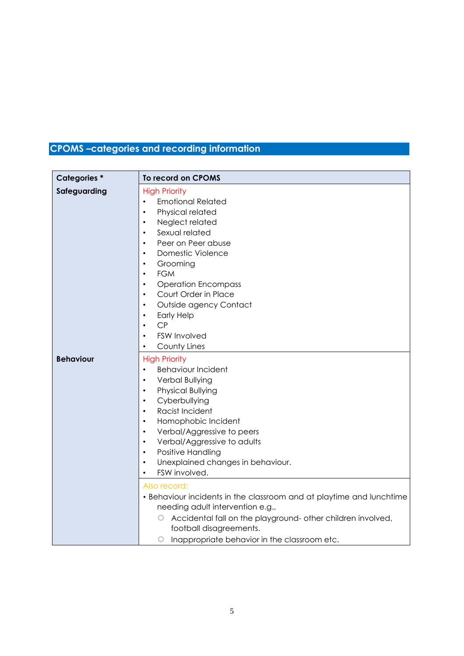### **CPOMS –categories and recording information**

| <b>Categories*</b> | To record on CPOMS                                                                                                                                                                                                                                                                                                                                                                                                                                                                                                                                                                                                                                                                                                  |
|--------------------|---------------------------------------------------------------------------------------------------------------------------------------------------------------------------------------------------------------------------------------------------------------------------------------------------------------------------------------------------------------------------------------------------------------------------------------------------------------------------------------------------------------------------------------------------------------------------------------------------------------------------------------------------------------------------------------------------------------------|
| Safeguarding       | <b>High Priority</b><br><b>Emotional Related</b><br>Physical related<br>٠<br>Neglect related<br>$\bullet$<br>Sexual related<br>$\bullet$<br>Peer on Peer abuse<br>$\bullet$<br><b>Domestic Violence</b><br>$\bullet$<br>Grooming<br>٠<br><b>FGM</b><br>$\bullet$<br><b>Operation Encompass</b><br>$\bullet$<br>Court Order in Place<br>$\bullet$<br>Outside agency Contact<br>$\bullet$<br><b>Early Help</b><br>$\bullet$<br>CP<br>$\bullet$<br><b>FSW Involved</b><br>County Lines                                                                                                                                                                                                                                 |
| <b>Behaviour</b>   | <b>High Priority</b><br><b>Behaviour Incident</b><br>$\bullet$<br>Verbal Bullying<br>$\bullet$<br>Physical Bullying<br>$\bullet$<br>Cyberbullying<br>$\bullet$<br>Racist Incident<br>$\bullet$<br>Homophobic Incident<br>$\bullet$<br>Verbal/Aggressive to peers<br>$\bullet$<br>Verbal/Aggressive to adults<br>$\bullet$<br>Positive Handling<br>$\bullet$<br>Unexplained changes in behaviour.<br>٠<br>FSW involved.<br>$\bullet$<br>Also record:<br>• Behaviour incidents in the classroom and at playtime and lunchtime<br>needing adult intervention e.g.,<br>Accidental fall on the playground- other children involved,<br>O<br>football disagreements.<br>Inappropriate behavior in the classroom etc.<br>O |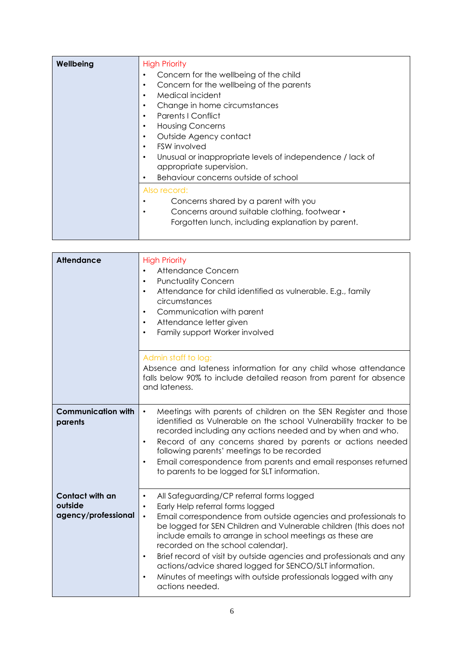| Wellbeing | <b>High Priority</b><br>Concern for the wellbeing of the child<br>Concern for the wellbeing of the parents<br>Medical incident<br>٠<br>Change in home circumstances<br>٠<br><b>Parents   Conflict</b><br>$\bullet$<br><b>Housing Concerns</b><br>٠<br>Outside Agency contact<br>$\bullet$<br><b>FSW</b> involved<br>$\bullet$<br>Unusual or inappropriate levels of independence / lack of<br>$\bullet$<br>appropriate supervision.<br>Behaviour concerns outside of school |
|-----------|-----------------------------------------------------------------------------------------------------------------------------------------------------------------------------------------------------------------------------------------------------------------------------------------------------------------------------------------------------------------------------------------------------------------------------------------------------------------------------|
|           | Also record:<br>Concerns shared by a parent with you<br>Concerns around suitable clothing, footwear •<br>Forgotten lunch, including explanation by parent.                                                                                                                                                                                                                                                                                                                  |

| <b>Attendance</b>                                 | <b>High Priority</b><br>Attendance Concern<br><b>Punctuality Concern</b><br>$\bullet$<br>Attendance for child identified as vulnerable. E.g., family<br>$\bullet$<br>circumstances<br>Communication with parent<br>Attendance letter given<br>Family support Worker involved                                                                                                                                                                                                                                                                                                                       |
|---------------------------------------------------|----------------------------------------------------------------------------------------------------------------------------------------------------------------------------------------------------------------------------------------------------------------------------------------------------------------------------------------------------------------------------------------------------------------------------------------------------------------------------------------------------------------------------------------------------------------------------------------------------|
|                                                   | Admin staff to log:<br>Absence and lateness information for any child whose attendance<br>falls below 90% to include detailed reason from parent for absence<br>and lateness.                                                                                                                                                                                                                                                                                                                                                                                                                      |
| <b>Communication with</b><br>parents              | Meetings with parents of children on the SEN Register and those<br>$\bullet$<br>identified as Vulnerable on the school Vulnerability tracker to be<br>recorded including any actions needed and by when and who.<br>Record of any concerns shared by parents or actions needed<br>$\bullet$<br>following parents' meetings to be recorded<br>Email correspondence from parents and email responses returned<br>$\bullet$<br>to parents to be logged for SLT information.                                                                                                                           |
| Contact with an<br>outside<br>agency/professional | All Safeguarding/CP referral forms logged<br>$\bullet$<br>Early Help referral forms logged<br>Email correspondence from outside agencies and professionals to<br>$\bullet$<br>be logged for SEN Children and Vulnerable children (this does not<br>include emails to arrange in school meetings as these are<br>recorded on the school calendar).<br>Brief record of visit by outside agencies and professionals and any<br>$\bullet$<br>actions/advice shared logged for SENCO/SLT information.<br>Minutes of meetings with outside professionals logged with any<br>$\bullet$<br>actions needed. |